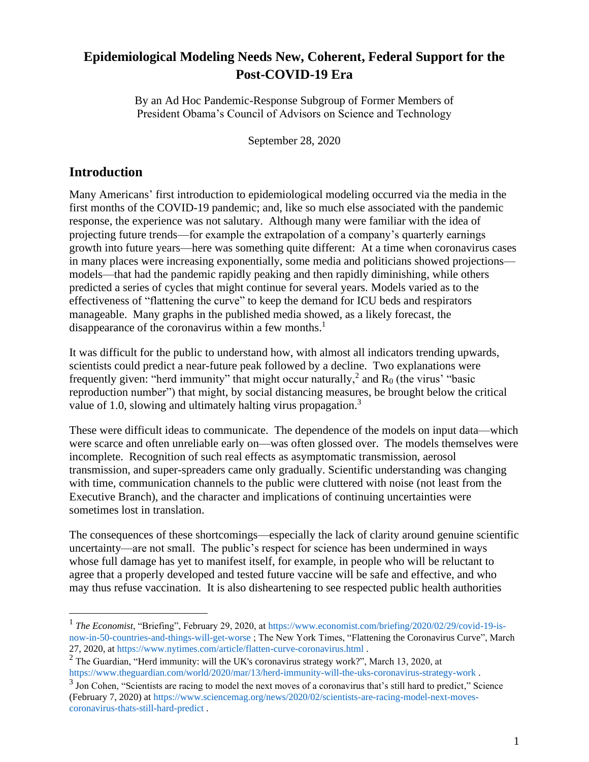# **Epidemiological Modeling Needs New, Coherent, Federal Support for the Post-COVID-19 Era**

By an Ad Hoc Pandemic-Response Subgroup of Former Members of President Obama's Council of Advisors on Science and Technology

September 28, 2020

### **Introduction**

Many Americans' first introduction to epidemiological modeling occurred via the media in the first months of the COVID-19 pandemic; and, like so much else associated with the pandemic response, the experience was not salutary. Although many were familiar with the idea of projecting future trends—for example the extrapolation of a company's quarterly earnings growth into future years—here was something quite different: At a time when coronavirus cases in many places were increasing exponentially, some media and politicians showed projections models—that had the pandemic rapidly peaking and then rapidly diminishing, while others predicted a series of cycles that might continue for several years. Models varied as to the effectiveness of "flattening the curve" to keep the demand for ICU beds and respirators manageable. Many graphs in the published media showed, as a likely forecast, the disappearance of the coronavirus within a few months.<sup>1</sup>

It was difficult for the public to understand how, with almost all indicators trending upwards, scientists could predict a near-future peak followed by a decline. Two explanations were frequently given: "herd immunity" that might occur naturally,  $2$  and R<sub>0</sub> (the virus' "basic reproduction number") that might, by social distancing measures, be brought below the critical value of 1.0, slowing and ultimately halting virus propagation.<sup>3</sup>

These were difficult ideas to communicate. The dependence of the models on input data—which were scarce and often unreliable early on—was often glossed over. The models themselves were incomplete. Recognition of such real effects as asymptomatic transmission, aerosol transmission, and super-spreaders came only gradually. Scientific understanding was changing with time, communication channels to the public were cluttered with noise (not least from the Executive Branch), and the character and implications of continuing uncertainties were sometimes lost in translation.

The consequences of these shortcomings—especially the lack of clarity around genuine scientific uncertainty—are not small. The public's respect for science has been undermined in ways whose full damage has yet to manifest itself, for example, in people who will be reluctant to agree that a properly developed and tested future vaccine will be safe and effective, and who may thus refuse vaccination. It is also disheartening to see respected public health authorities

<sup>&</sup>lt;sup>1</sup> The Economist, "Briefing", February 29, 2020, a[t https://www.economist.com/briefing/2020/02/29/covid-19-is](https://www.economist.com/briefing/2020/02/29/covid-19-is-now-in-50-countries-and-things-will-get-worse)[now-in-50-countries-and-things-will-get-worse](https://www.economist.com/briefing/2020/02/29/covid-19-is-now-in-50-countries-and-things-will-get-worse) ; The New York Times, "Flattening the Coronavirus Curve", March 27, 2020, a[t https://www.nytimes.com/article/flatten-curve-coronavirus.html](https://www.nytimes.com/article/flatten-curve-coronavirus.html) .

 $2$  The Guardian, "Herd immunity: will the UK's coronavirus strategy work?", March 13, 2020, at <https://www.theguardian.com/world/2020/mar/13/herd-immunity-will-the-uks-coronavirus-strategy-work> .

 $3$  Jon Cohen, "Scientists are racing to model the next moves of a coronavirus that's still hard to predict," Science (February 7, 2020) at [https://www.sciencemag.org/news/2020/02/scientists-are-racing-model-next-moves](https://www.sciencemag.org/news/2020/02/scientists-are-racing-model-next-moves-coronavirus-thats-still-hard-predict)[coronavirus-thats-still-hard-predict](https://www.sciencemag.org/news/2020/02/scientists-are-racing-model-next-moves-coronavirus-thats-still-hard-predict) .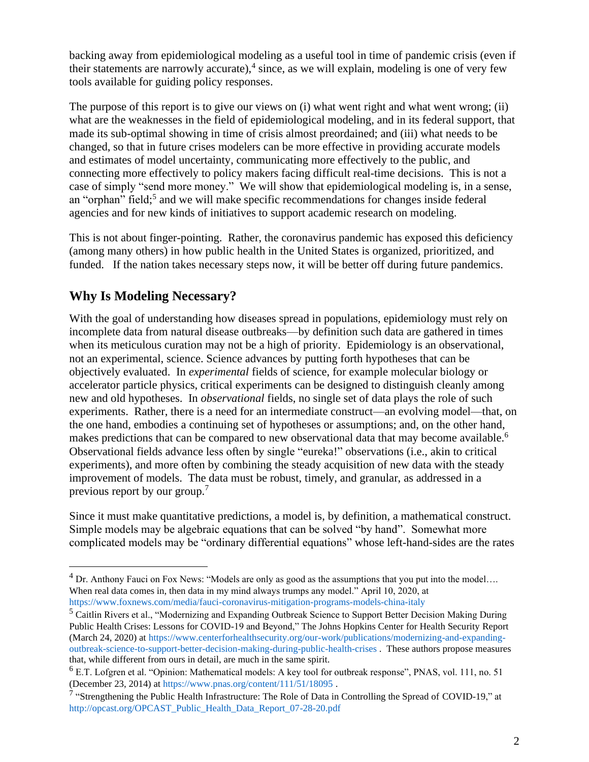backing away from epidemiological modeling as a useful tool in time of pandemic crisis (even if their statements are narrowly accurate), 4 since, as we will explain, modeling is one of very few tools available for guiding policy responses.

The purpose of this report is to give our views on (i) what went right and what went wrong; (ii) what are the weaknesses in the field of epidemiological modeling, and in its federal support, that made its sub-optimal showing in time of crisis almost preordained; and (iii) what needs to be changed, so that in future crises modelers can be more effective in providing accurate models and estimates of model uncertainty, communicating more effectively to the public, and connecting more effectively to policy makers facing difficult real-time decisions. This is not a case of simply "send more money." We will show that epidemiological modeling is, in a sense, an "orphan" field;<sup>5</sup> and we will make specific recommendations for changes inside federal agencies and for new kinds of initiatives to support academic research on modeling.

This is not about finger-pointing. Rather, the coronavirus pandemic has exposed this deficiency (among many others) in how public health in the United States is organized, prioritized, and funded. If the nation takes necessary steps now, it will be better off during future pandemics.

# **Why Is Modeling Necessary?**

With the goal of understanding how diseases spread in populations, epidemiology must rely on incomplete data from natural disease outbreaks—by definition such data are gathered in times when its meticulous curation may not be a high of priority. Epidemiology is an observational, not an experimental, science. Science advances by putting forth hypotheses that can be objectively evaluated. In *experimental* fields of science, for example molecular biology or accelerator particle physics, critical experiments can be designed to distinguish cleanly among new and old hypotheses. In *observational* fields, no single set of data plays the role of such experiments. Rather, there is a need for an intermediate construct—an evolving model—that, on the one hand, embodies a continuing set of hypotheses or assumptions; and, on the other hand, makes predictions that can be compared to new observational data that may become available.<sup>6</sup> Observational fields advance less often by single "eureka!" observations (i.e., akin to critical experiments), and more often by combining the steady acquisition of new data with the steady improvement of models. The data must be robust, timely, and granular, as addressed in a previous report by our group.<sup>7</sup>

Since it must make quantitative predictions, a model is, by definition, a mathematical construct. Simple models may be algebraic equations that can be solved "by hand". Somewhat more complicated models may be "ordinary differential equations" whose left-hand-sides are the rates

 $4$  Dr. Anthony Fauci on Fox News: "Models are only as good as the assumptions that you put into the model.... When real data comes in, then data in my mind always trumps any model." April 10, 2020, at

<https://www.foxnews.com/media/fauci-coronavirus-mitigation-programs-models-china-italy>

<sup>&</sup>lt;sup>5</sup> Caitlin Rivers et al., "Modernizing and Expanding Outbreak Science to Support Better Decision Making During Public Health Crises: Lessons for COVID-19 and Beyond," The Johns Hopkins Center for Health Security Report (March 24, 2020) at [https://www.centerforhealthsecurity.org/our-work/publications/modernizing-and-expanding](https://www.centerforhealthsecurity.org/our-work/publications/modernizing-and-expanding-outbreak-science-to-support-better-decision-making-during-public-health-crises)[outbreak-science-to-support-better-decision-making-during-public-health-crises](https://www.centerforhealthsecurity.org/our-work/publications/modernizing-and-expanding-outbreak-science-to-support-better-decision-making-during-public-health-crises) . These authors propose measures that, while different from ours in detail, are much in the same spirit.

<sup>&</sup>lt;sup>6</sup> E.T. Lofgren et al. "Opinion: Mathematical models: A key tool for outbreak response", PNAS, vol. 111, no. 51 (December 23, 2014) at<https://www.pnas.org/content/111/51/18095> .

<sup>&</sup>lt;sup>7</sup> "Strengthening the Public Health Infrastructure: The Role of Data in Controlling the Spread of COVID-19," at [http://opcast.org/OPCAST\\_Public\\_Health\\_Data\\_Report\\_07-28-20.pdf](http://opcast.org/OPCAST_Public_Health_Data_Report_07-28-20.pdf)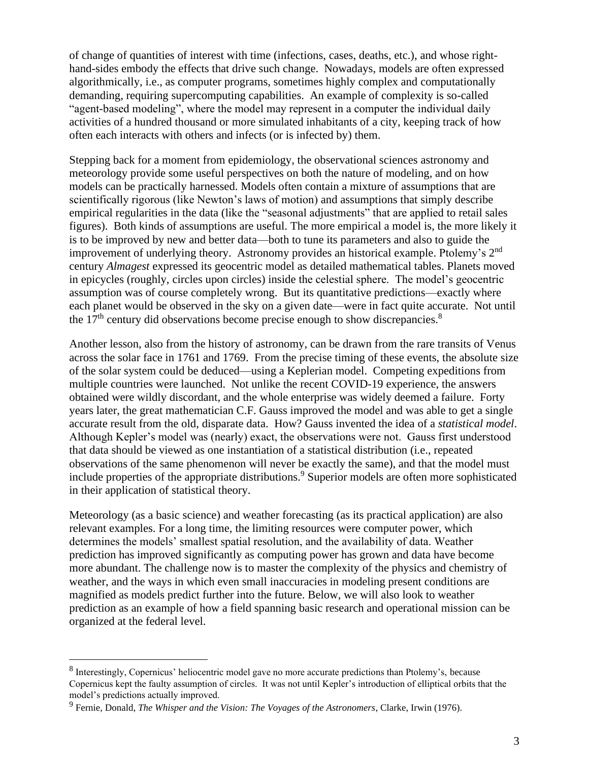of change of quantities of interest with time (infections, cases, deaths, etc.), and whose righthand-sides embody the effects that drive such change. Nowadays, models are often expressed algorithmically, i.e., as computer programs, sometimes highly complex and computationally demanding, requiring supercomputing capabilities. An example of complexity is so-called "agent-based modeling", where the model may represent in a computer the individual daily activities of a hundred thousand or more simulated inhabitants of a city, keeping track of how often each interacts with others and infects (or is infected by) them.

Stepping back for a moment from epidemiology, the observational sciences astronomy and meteorology provide some useful perspectives on both the nature of modeling, and on how models can be practically harnessed. Models often contain a mixture of assumptions that are scientifically rigorous (like Newton's laws of motion) and assumptions that simply describe empirical regularities in the data (like the "seasonal adjustments" that are applied to retail sales figures). Both kinds of assumptions are useful. The more empirical a model is, the more likely it is to be improved by new and better data—both to tune its parameters and also to guide the improvement of underlying theory. Astronomy provides an historical example. Ptolemy's 2<sup>nd</sup> century *Almagest* expressed its geocentric model as detailed mathematical tables. Planets moved in epicycles (roughly, circles upon circles) inside the celestial sphere. The model's geocentric assumption was of course completely wrong. But its quantitative predictions—exactly where each planet would be observed in the sky on a given date—were in fact quite accurate. Not until the  $17<sup>th</sup>$  century did observations become precise enough to show discrepancies.<sup>8</sup>

Another lesson, also from the history of astronomy, can be drawn from the rare transits of Venus across the solar face in 1761 and 1769. From the precise timing of these events, the absolute size of the solar system could be deduced—using a Keplerian model. Competing expeditions from multiple countries were launched. Not unlike the recent COVID-19 experience, the answers obtained were wildly discordant, and the whole enterprise was widely deemed a failure. Forty years later, the great mathematician C.F. Gauss improved the model and was able to get a single accurate result from the old, disparate data. How? Gauss invented the idea of a *statistical model*. Although Kepler's model was (nearly) exact, the observations were not. Gauss first understood that data should be viewed as one instantiation of a statistical distribution (i.e., repeated observations of the same phenomenon will never be exactly the same), and that the model must include properties of the appropriate distributions.<sup>9</sup> Superior models are often more sophisticated in their application of statistical theory.

Meteorology (as a basic science) and weather forecasting (as its practical application) are also relevant examples. For a long time, the limiting resources were computer power, which determines the models' smallest spatial resolution, and the availability of data. Weather prediction has improved significantly as computing power has grown and data have become more abundant. The challenge now is to master the complexity of the physics and chemistry of weather, and the ways in which even small inaccuracies in modeling present conditions are magnified as models predict further into the future. Below, we will also look to weather prediction as an example of how a field spanning basic research and operational mission can be organized at the federal level.

 $8$  Interestingly, Copernicus' heliocentric model gave no more accurate predictions than Ptolemy's, because Copernicus kept the faulty assumption of circles. It was not until Kepler's introduction of elliptical orbits that the model's predictions actually improved.

<sup>9</sup> Fernie, Donald, *The Whisper and the Vision: The Voyages of the Astronomers*, Clarke, Irwin (1976).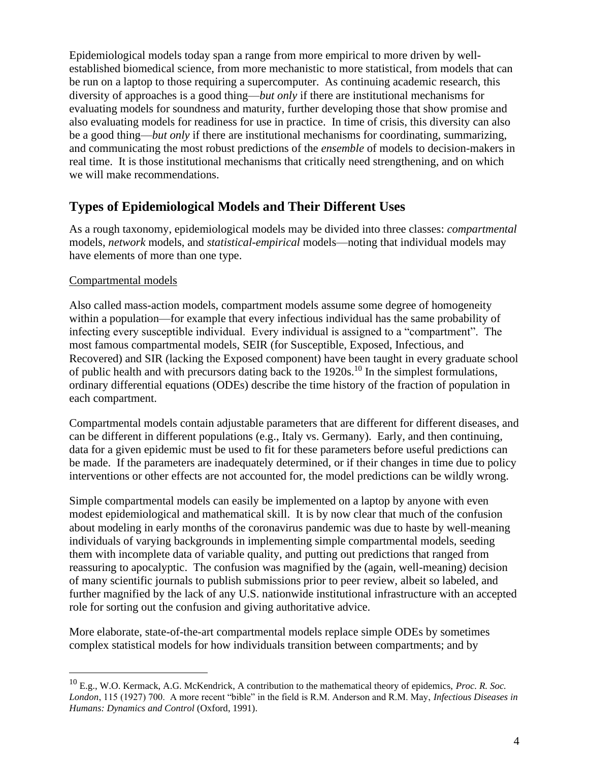Epidemiological models today span a range from more empirical to more driven by wellestablished biomedical science, from more mechanistic to more statistical, from models that can be run on a laptop to those requiring a supercomputer. As continuing academic research, this diversity of approaches is a good thing—*but only* if there are institutional mechanisms for evaluating models for soundness and maturity, further developing those that show promise and also evaluating models for readiness for use in practice. In time of crisis, this diversity can also be a good thing—*but only* if there are institutional mechanisms for coordinating, summarizing, and communicating the most robust predictions of the *ensemble* of models to decision-makers in real time. It is those institutional mechanisms that critically need strengthening, and on which we will make recommendations.

# **Types of Epidemiological Models and Their Different Uses**

As a rough taxonomy, epidemiological models may be divided into three classes: *compartmental* models, *network* models, and *statistical-empirical* models—noting that individual models may have elements of more than one type.

### Compartmental models

Also called mass-action models, compartment models assume some degree of homogeneity within a population—for example that every infectious individual has the same probability of infecting every susceptible individual. Every individual is assigned to a "compartment". The most famous compartmental models, SEIR (for Susceptible, Exposed, Infectious, and Recovered) and SIR (lacking the Exposed component) have been taught in every graduate school of public health and with precursors dating back to the 1920s.<sup>10</sup> In the simplest formulations, ordinary differential equations (ODEs) describe the time history of the fraction of population in each compartment.

Compartmental models contain adjustable parameters that are different for different diseases, and can be different in different populations (e.g., Italy vs. Germany). Early, and then continuing, data for a given epidemic must be used to fit for these parameters before useful predictions can be made. If the parameters are inadequately determined, or if their changes in time due to policy interventions or other effects are not accounted for, the model predictions can be wildly wrong.

Simple compartmental models can easily be implemented on a laptop by anyone with even modest epidemiological and mathematical skill. It is by now clear that much of the confusion about modeling in early months of the coronavirus pandemic was due to haste by well-meaning individuals of varying backgrounds in implementing simple compartmental models, seeding them with incomplete data of variable quality, and putting out predictions that ranged from reassuring to apocalyptic. The confusion was magnified by the (again, well-meaning) decision of many scientific journals to publish submissions prior to peer review, albeit so labeled, and further magnified by the lack of any U.S. nationwide institutional infrastructure with an accepted role for sorting out the confusion and giving authoritative advice.

More elaborate, state-of-the-art compartmental models replace simple ODEs by sometimes complex statistical models for how individuals transition between compartments; and by

<sup>10</sup> E.g., W.O. Kermack, A.G. McKendrick, A contribution to the mathematical theory of epidemics, *Proc. R. Soc. London*, 115 (1927) 700. A more recent "bible" in the field is R.M. Anderson and R.M. May, *Infectious Diseases in Humans: Dynamics and Control* (Oxford, 1991).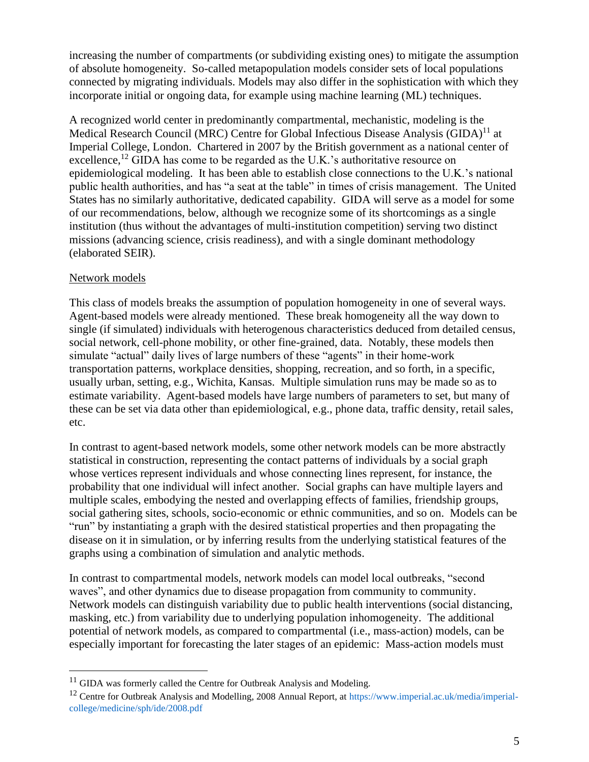increasing the number of compartments (or subdividing existing ones) to mitigate the assumption of absolute homogeneity. So-called metapopulation models consider sets of local populations connected by migrating individuals. Models may also differ in the sophistication with which they incorporate initial or ongoing data, for example using machine learning (ML) techniques.

A recognized world center in predominantly compartmental, mechanistic, modeling is the Medical Research Council (MRC) Centre for Global Infectious Disease Analysis  $(GIDA)^{11}$  at Imperial College, London. Chartered in 2007 by the British government as a national center of excellence,<sup>12</sup> GIDA has come to be regarded as the U.K.'s authoritative resource on epidemiological modeling. It has been able to establish close connections to the U.K.'s national public health authorities, and has "a seat at the table" in times of crisis management. The United States has no similarly authoritative, dedicated capability. GIDA will serve as a model for some of our recommendations, below, although we recognize some of its shortcomings as a single institution (thus without the advantages of multi-institution competition) serving two distinct missions (advancing science, crisis readiness), and with a single dominant methodology (elaborated SEIR).

#### Network models

This class of models breaks the assumption of population homogeneity in one of several ways. Agent-based models were already mentioned. These break homogeneity all the way down to single (if simulated) individuals with heterogenous characteristics deduced from detailed census, social network, cell-phone mobility, or other fine-grained, data. Notably, these models then simulate "actual" daily lives of large numbers of these "agents" in their home-work transportation patterns, workplace densities, shopping, recreation, and so forth, in a specific, usually urban, setting, e.g., Wichita, Kansas. Multiple simulation runs may be made so as to estimate variability. Agent-based models have large numbers of parameters to set, but many of these can be set via data other than epidemiological, e.g., phone data, traffic density, retail sales, etc.

In contrast to agent-based network models, some other network models can be more abstractly statistical in construction, representing the contact patterns of individuals by a social graph whose vertices represent individuals and whose connecting lines represent, for instance, the probability that one individual will infect another. Social graphs can have multiple layers and multiple scales, embodying the nested and overlapping effects of families, friendship groups, social gathering sites, schools, socio-economic or ethnic communities, and so on. Models can be "run" by instantiating a graph with the desired statistical properties and then propagating the disease on it in simulation, or by inferring results from the underlying statistical features of the graphs using a combination of simulation and analytic methods.

In contrast to compartmental models, network models can model local outbreaks, "second waves", and other dynamics due to disease propagation from community to community. Network models can distinguish variability due to public health interventions (social distancing, masking, etc.) from variability due to underlying population inhomogeneity. The additional potential of network models, as compared to compartmental (i.e., mass-action) models, can be especially important for forecasting the later stages of an epidemic: Mass-action models must

 $11$  GIDA was formerly called the Centre for Outbreak Analysis and Modeling.

<sup>&</sup>lt;sup>12</sup> Centre for Outbreak Analysis and Modelling, 2008 Annual Report, at [https://www.imperial.ac.uk/media/imperial](https://www.imperial.ac.uk/media/imperial-college/medicine/sph/ide/2008.pdf)[college/medicine/sph/ide/2008.pdf](https://www.imperial.ac.uk/media/imperial-college/medicine/sph/ide/2008.pdf)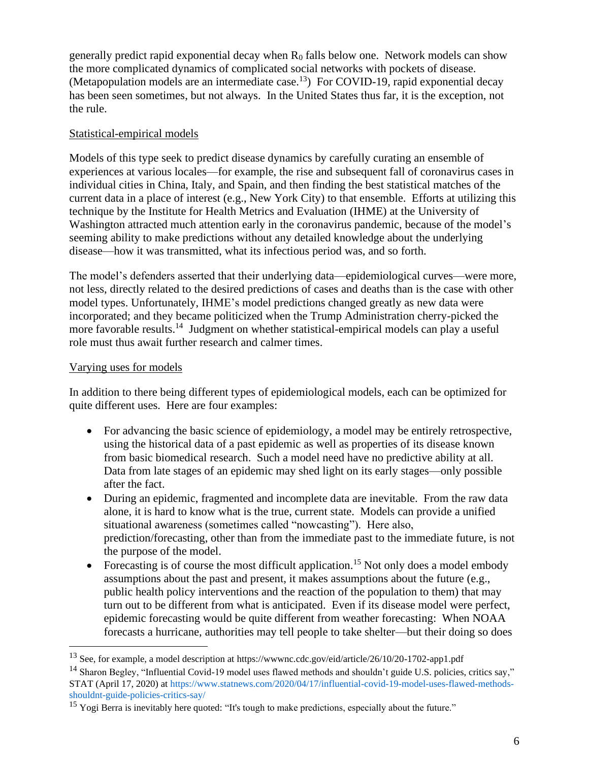generally predict rapid exponential decay when  $R_0$  falls below one. Network models can show the more complicated dynamics of complicated social networks with pockets of disease. (Metapopulation models are an intermediate case.<sup>13</sup>) For COVID-19, rapid exponential decay has been seen sometimes, but not always. In the United States thus far, it is the exception, not the rule.

#### Statistical-empirical models

Models of this type seek to predict disease dynamics by carefully curating an ensemble of experiences at various locales—for example, the rise and subsequent fall of coronavirus cases in individual cities in China, Italy, and Spain, and then finding the best statistical matches of the current data in a place of interest (e.g., New York City) to that ensemble. Efforts at utilizing this technique by the Institute for Health Metrics and Evaluation (IHME) at the University of Washington attracted much attention early in the coronavirus pandemic, because of the model's seeming ability to make predictions without any detailed knowledge about the underlying disease—how it was transmitted, what its infectious period was, and so forth.

The model's defenders asserted that their underlying data—epidemiological curves—were more, not less, directly related to the desired predictions of cases and deaths than is the case with other model types. Unfortunately, IHME's model predictions changed greatly as new data were incorporated; and they became politicized when the Trump Administration cherry-picked the more favorable results.<sup>14</sup> Judgment on whether statistical-empirical models can play a useful role must thus await further research and calmer times.

### Varying uses for models

In addition to there being different types of epidemiological models, each can be optimized for quite different uses. Here are four examples:

- For advancing the basic science of epidemiology, a model may be entirely retrospective, using the historical data of a past epidemic as well as properties of its disease known from basic biomedical research. Such a model need have no predictive ability at all. Data from late stages of an epidemic may shed light on its early stages—only possible after the fact.
- During an epidemic, fragmented and incomplete data are inevitable. From the raw data alone, it is hard to know what is the true, current state. Models can provide a unified situational awareness (sometimes called "nowcasting"). Here also, prediction/forecasting, other than from the immediate past to the immediate future, is not the purpose of the model.
- Forecasting is of course the most difficult application.<sup>15</sup> Not only does a model embody assumptions about the past and present, it makes assumptions about the future (e.g., public health policy interventions and the reaction of the population to them) that may turn out to be different from what is anticipated. Even if its disease model were perfect, epidemic forecasting would be quite different from weather forecasting: When NOAA forecasts a hurricane, authorities may tell people to take shelter—but their doing so does

<sup>13</sup> See, for example, a model description at https://wwwnc.cdc.gov/eid/article/26/10/20-1702-app1.pdf

 $14$  Sharon Begley, "Influential Covid-19 model uses flawed methods and shouldn't guide U.S. policies, critics say," STAT (April 17, 2020) at [https://www.statnews.com/2020/04/17/influential-covid-19-model-uses-flawed-methods](https://www.statnews.com/2020/04/17/influential-covid-19-model-uses-flawed-methods-shouldnt-guide-policies-critics-say/)[shouldnt-guide-policies-critics-say/](https://www.statnews.com/2020/04/17/influential-covid-19-model-uses-flawed-methods-shouldnt-guide-policies-critics-say/)

<sup>&</sup>lt;sup>15</sup> Yogi Berra is inevitably here quoted: "It's tough to make predictions, especially about the future."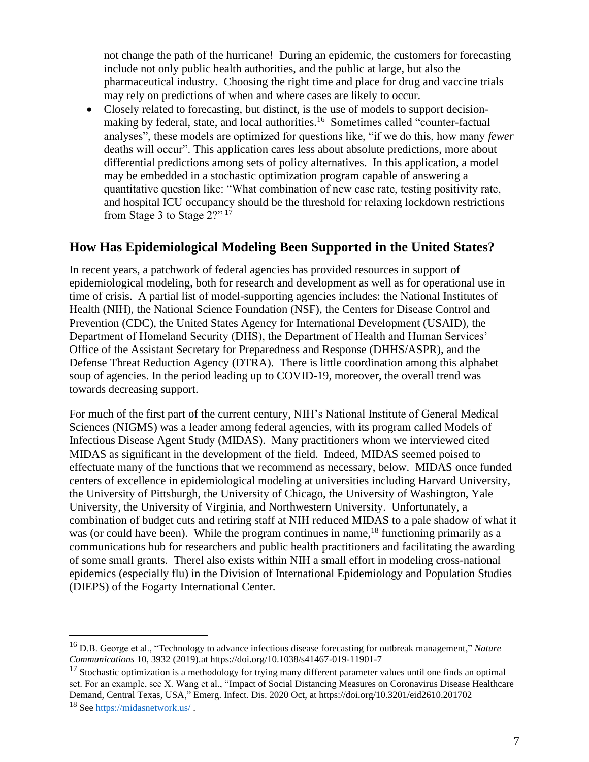not change the path of the hurricane! During an epidemic, the customers for forecasting include not only public health authorities, and the public at large, but also the pharmaceutical industry. Choosing the right time and place for drug and vaccine trials may rely on predictions of when and where cases are likely to occur.

• Closely related to forecasting, but distinct, is the use of models to support decisionmaking by federal, state, and local authorities.<sup>16</sup> Sometimes called "counter-factual analyses", these models are optimized for questions like, "if we do this, how many *fewer* deaths will occur". This application cares less about absolute predictions, more about differential predictions among sets of policy alternatives. In this application, a model may be embedded in a stochastic optimization program capable of answering a quantitative question like: "What combination of new case rate, testing positivity rate, and hospital ICU occupancy should be the threshold for relaxing lockdown restrictions from Stage 3 to Stage 2?" <sup>17</sup>

### **How Has Epidemiological Modeling Been Supported in the United States?**

In recent years, a patchwork of federal agencies has provided resources in support of epidemiological modeling, both for research and development as well as for operational use in time of crisis. A partial list of model-supporting agencies includes: the National Institutes of Health (NIH), the National Science Foundation (NSF), the Centers for Disease Control and Prevention (CDC), the United States Agency for International Development (USAID), the Department of Homeland Security (DHS), the Department of Health and Human Services' Office of the Assistant Secretary for Preparedness and Response (DHHS/ASPR), and the Defense Threat Reduction Agency (DTRA). There is little coordination among this alphabet soup of agencies. In the period leading up to COVID-19, moreover, the overall trend was towards decreasing support.

For much of the first part of the current century, NIH's National Institute of General Medical Sciences (NIGMS) was a leader among federal agencies, with its program called Models of Infectious Disease Agent Study (MIDAS). Many practitioners whom we interviewed cited MIDAS as significant in the development of the field. Indeed, MIDAS seemed poised to effectuate many of the functions that we recommend as necessary, below. MIDAS once funded centers of excellence in epidemiological modeling at universities including Harvard University, the University of Pittsburgh, the University of Chicago, the University of Washington, Yale University, the University of Virginia, and Northwestern University. Unfortunately, a combination of budget cuts and retiring staff at NIH reduced MIDAS to a pale shadow of what it was (or could have been). While the program continues in name,<sup>18</sup> functioning primarily as a communications hub for researchers and public health practitioners and facilitating the awarding of some small grants. Therel also exists within NIH a small effort in modeling cross-national epidemics (especially flu) in the Division of International Epidemiology and Population Studies (DIEPS) of the Fogarty International Center.

<sup>16</sup> D.B. George et al., "Technology to advance infectious disease forecasting for outbreak management," *Nature Communications* 10, 3932 (2019).at https://doi.org/10.1038/s41467-019-11901-7

<sup>&</sup>lt;sup>17</sup> Stochastic optimization is a methodology for trying many different parameter values until one finds an optimal set. For an example, see X. Wang et al., "Impact of Social Distancing Measures on Coronavirus Disease Healthcare Demand, Central Texas, USA," Emerg. Infect. Dis. 2020 Oct, at https://doi.org/10.3201/eid2610.201702

<sup>18</sup> Se[e https://midasnetwork.us/](https://midasnetwork.us/) .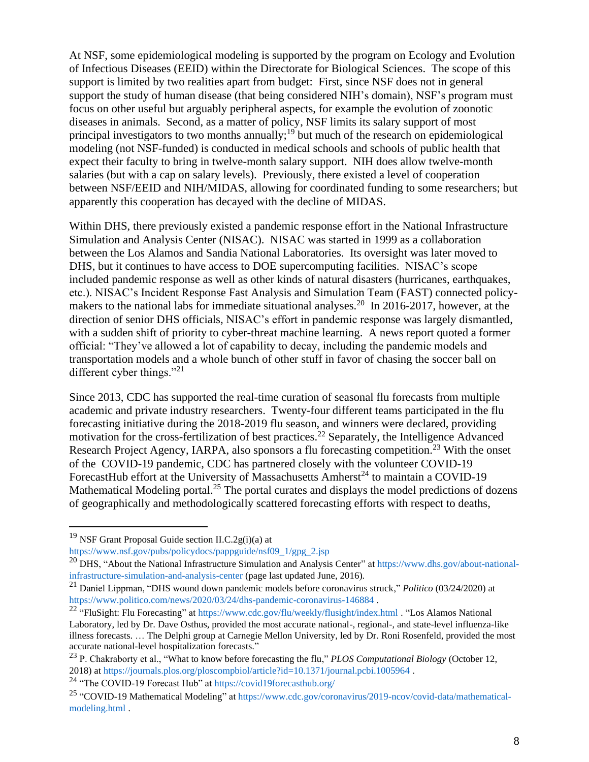At NSF, some epidemiological modeling is supported by the program on Ecology and Evolution of Infectious Diseases (EEID) within the Directorate for Biological Sciences. The scope of this support is limited by two realities apart from budget: First, since NSF does not in general support the study of human disease (that being considered NIH's domain), NSF's program must focus on other useful but arguably peripheral aspects, for example the evolution of zoonotic diseases in animals. Second, as a matter of policy, NSF limits its salary support of most principal investigators to two months annually;<sup>19</sup> but much of the research on epidemiological modeling (not NSF-funded) is conducted in medical schools and schools of public health that expect their faculty to bring in twelve-month salary support. NIH does allow twelve-month salaries (but with a cap on salary levels). Previously, there existed a level of cooperation between NSF/EEID and NIH/MIDAS, allowing for coordinated funding to some researchers; but apparently this cooperation has decayed with the decline of MIDAS.

Within DHS, there previously existed a pandemic response effort in the National Infrastructure Simulation and Analysis Center (NISAC). NISAC was started in 1999 as a collaboration between the Los Alamos and Sandia National Laboratories. Its oversight was later moved to DHS, but it continues to have access to DOE supercomputing facilities. NISAC's scope included pandemic response as well as other kinds of natural disasters (hurricanes, earthquakes, etc.). NISAC's Incident Response Fast Analysis and Simulation Team (FAST) connected policymakers to the national labs for immediate situational analyses.<sup>20</sup> In 2016-2017, however, at the direction of senior DHS officials, NISAC's effort in pandemic response was largely dismantled, with a sudden shift of priority to cyber-threat machine learning. A news report quoted a former official: "They've allowed a lot of capability to decay, including the pandemic models and transportation models and a whole bunch of other stuff in favor of chasing the soccer ball on different cyber things."<sup>21</sup>

Since 2013, CDC has supported the real-time curation of seasonal flu forecasts from multiple academic and private industry researchers. Twenty-four different teams participated in the flu forecasting initiative during the 2018-2019 flu season, and winners were declared, providing motivation for the cross-fertilization of best practices.<sup>22</sup> Separately, the Intelligence Advanced Research Project Agency, IARPA, also sponsors a flu forecasting competition.<sup>23</sup> With the onset of the COVID-19 pandemic, CDC has partnered closely with the volunteer COVID-19 ForecastHub effort at the University of Massachusetts Amherst<sup>24</sup> to maintain a COVID-19 Mathematical Modeling portal.<sup>25</sup> The portal curates and displays the model predictions of dozens of geographically and methodologically scattered forecasting efforts with respect to deaths,

<sup>&</sup>lt;sup>19</sup> NSF Grant Proposal Guide section II.C.2g(i)(a) at

[https://www.nsf.gov/pubs/policydocs/pappguide/nsf09\\_1/gpg\\_2.jsp](https://www.nsf.gov/pubs/policydocs/pappguide/nsf09_1/gpg_2.jsp)

<sup>&</sup>lt;sup>20</sup> DHS, "About the National Infrastructure Simulation and Analysis Center" at [https://www.dhs.gov/about-national](https://www.dhs.gov/about-national-infrastructure-simulation-and-analysis-center)[infrastructure-simulation-and-analysis-center](https://www.dhs.gov/about-national-infrastructure-simulation-and-analysis-center) (page last updated June, 2016).

<sup>21</sup> Daniel Lippman, "DHS wound down pandemic models before coronavirus struck," *Politico* (03/24/2020) at <https://www.politico.com/news/2020/03/24/dhs-pandemic-coronavirus-146884> .

<sup>&</sup>lt;sup>22</sup> "FluSight: Flu Forecasting" at<https://www.cdc.gov/flu/weekly/flusight/index.html> . "Los Alamos National Laboratory, led by Dr. Dave Osthus, provided the most accurate national-, regional-, and state-level influenza-like illness forecasts. … The Delphi group at Carnegie Mellon University, led by Dr. Roni Rosenfeld, provided the most accurate national-level hospitalization forecasts."

<sup>23</sup> P. Chakraborty et al., "What to know before forecasting the flu," *PLOS Computational Biology* (October 12, 2018) a[t https://journals.plos.org/ploscompbiol/article?id=10.1371/journal.pcbi.1005964](https://journals.plos.org/ploscompbiol/article?id=10.1371/journal.pcbi.1005964) .

<sup>24</sup> "The COVID-19 Forecast Hub" a[t https://covid19forecasthub.org/](https://covid19forecasthub.org/)

<sup>25</sup> "COVID-19 Mathematical Modeling" a[t https://www.cdc.gov/coronavirus/2019-ncov/covid-data/mathematical](https://www.cdc.gov/coronavirus/2019-ncov/covid-data/mathematical-modeling.html)[modeling.html](https://www.cdc.gov/coronavirus/2019-ncov/covid-data/mathematical-modeling.html) .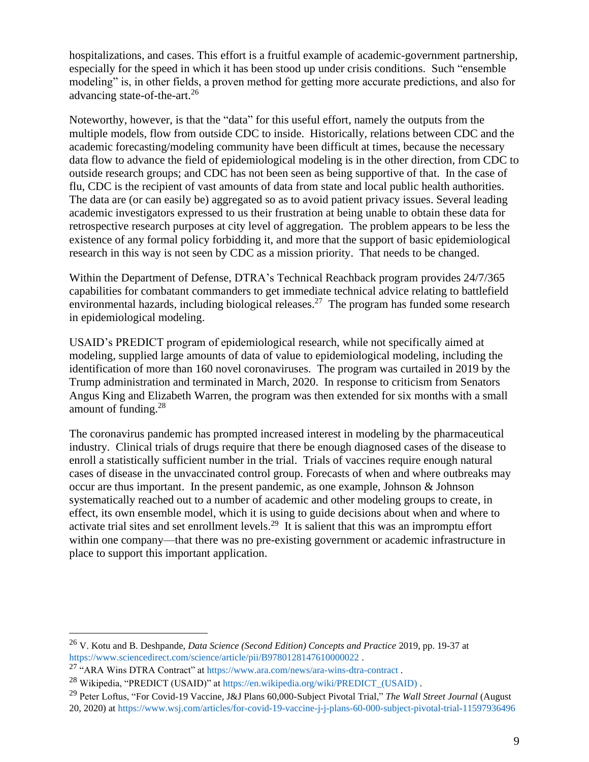hospitalizations, and cases. This effort is a fruitful example of academic-government partnership, especially for the speed in which it has been stood up under crisis conditions. Such "ensemble modeling" is, in other fields, a proven method for getting more accurate predictions, and also for advancing state-of-the-art.<sup>26</sup>

Noteworthy, however, is that the "data" for this useful effort, namely the outputs from the multiple models, flow from outside CDC to inside. Historically, relations between CDC and the academic forecasting/modeling community have been difficult at times, because the necessary data flow to advance the field of epidemiological modeling is in the other direction, from CDC to outside research groups; and CDC has not been seen as being supportive of that. In the case of flu, CDC is the recipient of vast amounts of data from state and local public health authorities. The data are (or can easily be) aggregated so as to avoid patient privacy issues. Several leading academic investigators expressed to us their frustration at being unable to obtain these data for retrospective research purposes at city level of aggregation. The problem appears to be less the existence of any formal policy forbidding it, and more that the support of basic epidemiological research in this way is not seen by CDC as a mission priority. That needs to be changed.

Within the Department of Defense, DTRA's Technical Reachback program provides 24/7/365 capabilities for combatant commanders to get immediate technical advice relating to battlefield environmental hazards, including biological releases.<sup>27</sup> The program has funded some research in epidemiological modeling.

USAID's PREDICT program of epidemiological research, while not specifically aimed at modeling, supplied large amounts of data of value to epidemiological modeling, including the identification of more than 160 novel coronaviruses. The program was curtailed in 2019 by the Trump administration and terminated in March, 2020. In response to criticism from Senators Angus King and Elizabeth Warren, the program was then extended for six months with a small amount of funding.<sup>28</sup>

The coronavirus pandemic has prompted increased interest in modeling by the pharmaceutical industry. Clinical trials of drugs require that there be enough diagnosed cases of the disease to enroll a statistically sufficient number in the trial. Trials of vaccines require enough natural cases of disease in the unvaccinated control group. Forecasts of when and where outbreaks may occur are thus important. In the present pandemic, as one example, Johnson & Johnson systematically reached out to a number of academic and other modeling groups to create, in effect, its own ensemble model, which it is using to guide decisions about when and where to activate trial sites and set enrollment levels.<sup>29</sup> It is salient that this was an impromptu effort within one company—that there was no pre-existing government or academic infrastructure in place to support this important application.

<sup>26</sup> V. Kotu and B. Deshpande, *Data Science (Second Edition) Concepts and Practice* 2019, pp. 19-37 at <https://www.sciencedirect.com/science/article/pii/B9780128147610000022>.

<sup>27</sup> "ARA Wins DTRA Contract" at<https://www.ara.com/news/ara-wins-dtra-contract> .

<sup>28</sup> Wikipedia, "PREDICT (USAID)" a[t https://en.wikipedia.org/wiki/PREDICT\\_\(USAID\)](https://en.wikipedia.org/wiki/PREDICT_(USAID)) .

<sup>29</sup> Peter Loftus, "For Covid-19 Vaccine, J&J Plans 60,000-Subject Pivotal Trial," *The Wall Street Journal* (August 20, 2020) a[t https://www.wsj.com/articles/for-covid-19-vaccine-j-j-plans-60-000-subject-pivotal-trial-11597936496](https://www.wsj.com/articles/for-covid-19-vaccine-j-j-plans-60-000-subject-pivotal-trial-11597936496)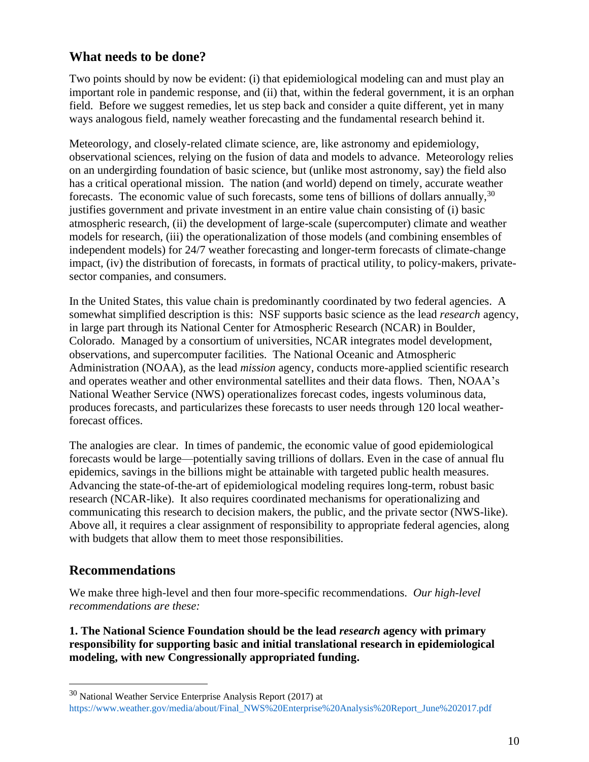### **What needs to be done?**

Two points should by now be evident: (i) that epidemiological modeling can and must play an important role in pandemic response, and (ii) that, within the federal government, it is an orphan field. Before we suggest remedies, let us step back and consider a quite different, yet in many ways analogous field, namely weather forecasting and the fundamental research behind it.

Meteorology, and closely-related climate science, are, like astronomy and epidemiology, observational sciences, relying on the fusion of data and models to advance. Meteorology relies on an undergirding foundation of basic science, but (unlike most astronomy, say) the field also has a critical operational mission. The nation (and world) depend on timely, accurate weather forecasts. The economic value of such forecasts, some tens of billions of dollars annually,  $30$ justifies government and private investment in an entire value chain consisting of (i) basic atmospheric research, (ii) the development of large-scale (supercomputer) climate and weather models for research, (iii) the operationalization of those models (and combining ensembles of independent models) for 24/7 weather forecasting and longer-term forecasts of climate-change impact, (iv) the distribution of forecasts, in formats of practical utility, to policy-makers, privatesector companies, and consumers.

In the United States, this value chain is predominantly coordinated by two federal agencies. A somewhat simplified description is this: NSF supports basic science as the lead *research* agency, in large part through its National Center for Atmospheric Research (NCAR) in Boulder, Colorado. Managed by a consortium of universities, NCAR integrates model development, observations, and supercomputer facilities. The National Oceanic and Atmospheric Administration (NOAA), as the lead *mission* agency, conducts more-applied scientific research and operates weather and other environmental satellites and their data flows. Then, NOAA's National Weather Service (NWS) operationalizes forecast codes, ingests voluminous data, produces forecasts, and particularizes these forecasts to user needs through 120 local weatherforecast offices.

The analogies are clear. In times of pandemic, the economic value of good epidemiological forecasts would be large—potentially saving trillions of dollars. Even in the case of annual flu epidemics, savings in the billions might be attainable with targeted public health measures. Advancing the state-of-the-art of epidemiological modeling requires long-term, robust basic research (NCAR-like). It also requires coordinated mechanisms for operationalizing and communicating this research to decision makers, the public, and the private sector (NWS-like). Above all, it requires a clear assignment of responsibility to appropriate federal agencies, along with budgets that allow them to meet those responsibilities.

# **Recommendations**

We make three high-level and then four more-specific recommendations. *Our high-level recommendations are these:*

**1. The National Science Foundation should be the lead** *research* **agency with primary responsibility for supporting basic and initial translational research in epidemiological modeling, with new Congressionally appropriated funding.**

<sup>30</sup> National Weather Service Enterprise Analysis Report (2017) at [https://www.weather.gov/media/about/Final\\_NWS%20Enterprise%20Analysis%20Report\\_June%202017.pdf](https://www.weather.gov/media/about/Final_NWS%20Enterprise%20Analysis%20Report_June%202017.pdf)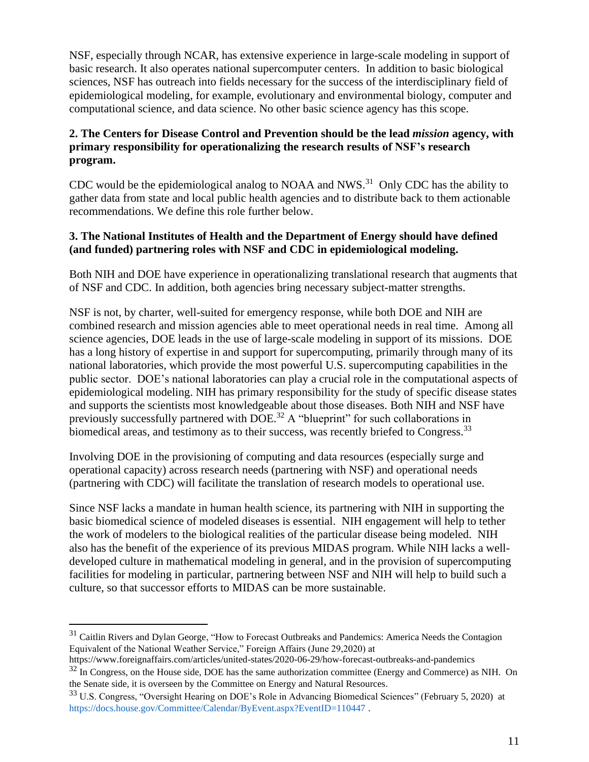NSF, especially through NCAR, has extensive experience in large-scale modeling in support of basic research. It also operates national supercomputer centers. In addition to basic biological sciences, NSF has outreach into fields necessary for the success of the interdisciplinary field of epidemiological modeling, for example, evolutionary and environmental biology, computer and computational science, and data science. No other basic science agency has this scope.

#### **2. The Centers for Disease Control and Prevention should be the lead** *mission* **agency, with primary responsibility for operationalizing the research results of NSF's research program.**

CDC would be the epidemiological analog to NOAA and NWS. $31$  Only CDC has the ability to gather data from state and local public health agencies and to distribute back to them actionable recommendations. We define this role further below.

#### **3. The National Institutes of Health and the Department of Energy should have defined (and funded) partnering roles with NSF and CDC in epidemiological modeling.**

Both NIH and DOE have experience in operationalizing translational research that augments that of NSF and CDC. In addition, both agencies bring necessary subject-matter strengths.

NSF is not, by charter, well-suited for emergency response, while both DOE and NIH are combined research and mission agencies able to meet operational needs in real time. Among all science agencies, DOE leads in the use of large-scale modeling in support of its missions. DOE has a long history of expertise in and support for supercomputing, primarily through many of its national laboratories, which provide the most powerful U.S. supercomputing capabilities in the public sector. DOE's national laboratories can play a crucial role in the computational aspects of epidemiological modeling. NIH has primary responsibility for the study of specific disease states and supports the scientists most knowledgeable about those diseases. Both NIH and NSF have previously successfully partnered with DOE.<sup>32</sup> A "blueprint" for such collaborations in biomedical areas, and testimony as to their success, was recently briefed to Congress.<sup>33</sup>

Involving DOE in the provisioning of computing and data resources (especially surge and operational capacity) across research needs (partnering with NSF) and operational needs (partnering with CDC) will facilitate the translation of research models to operational use.

Since NSF lacks a mandate in human health science, its partnering with NIH in supporting the basic biomedical science of modeled diseases is essential. NIH engagement will help to tether the work of modelers to the biological realities of the particular disease being modeled. NIH also has the benefit of the experience of its previous MIDAS program. While NIH lacks a welldeveloped culture in mathematical modeling in general, and in the provision of supercomputing facilities for modeling in particular, partnering between NSF and NIH will help to build such a culture, so that successor efforts to MIDAS can be more sustainable.

<sup>&</sup>lt;sup>31</sup> Caitlin Rivers and Dylan George, "How to Forecast Outbreaks and Pandemics: America Needs the Contagion Equivalent of the National Weather Service," Foreign Affairs (June 29,2020) at

https://www.foreignaffairs.com/articles/united-states/2020-06-29/how-forecast-outbreaks-and-pandemics  $32$  In Congress, on the House side, DOE has the same authorization committee (Energy and Commerce) as NIH. On the Senate side, it is overseen by the Committee on Energy and Natural Resources.

<sup>33</sup> U.S. Congress, "Oversight Hearing on DOE's Role in Advancing Biomedical Sciences" (February 5, 2020) at <https://docs.house.gov/Committee/Calendar/ByEvent.aspx?EventID=110447> .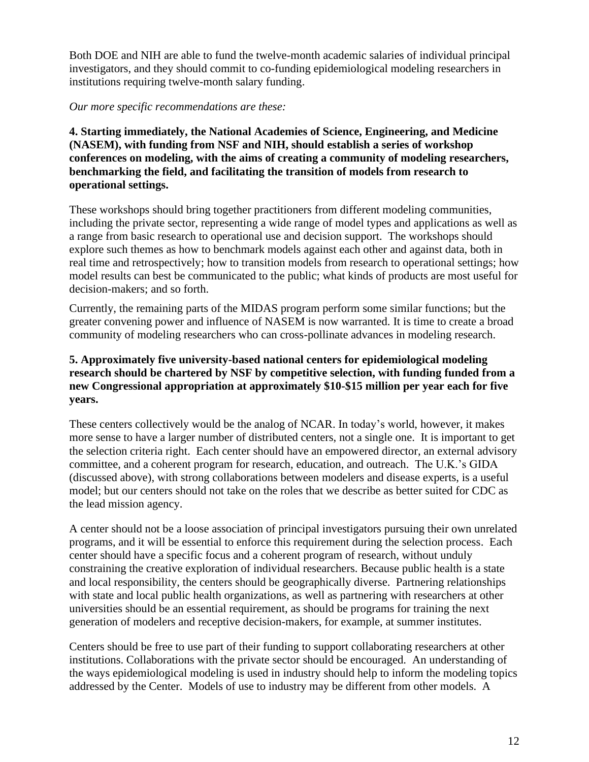Both DOE and NIH are able to fund the twelve-month academic salaries of individual principal investigators, and they should commit to co-funding epidemiological modeling researchers in institutions requiring twelve-month salary funding.

#### *Our more specific recommendations are these:*

**4. Starting immediately, the National Academies of Science, Engineering, and Medicine (NASEM), with funding from NSF and NIH, should establish a series of workshop conferences on modeling, with the aims of creating a community of modeling researchers, benchmarking the field, and facilitating the transition of models from research to operational settings.**

These workshops should bring together practitioners from different modeling communities, including the private sector, representing a wide range of model types and applications as well as a range from basic research to operational use and decision support. The workshops should explore such themes as how to benchmark models against each other and against data, both in real time and retrospectively; how to transition models from research to operational settings; how model results can best be communicated to the public; what kinds of products are most useful for decision-makers; and so forth.

Currently, the remaining parts of the MIDAS program perform some similar functions; but the greater convening power and influence of NASEM is now warranted. It is time to create a broad community of modeling researchers who can cross-pollinate advances in modeling research.

#### **5. Approximately five university-based national centers for epidemiological modeling research should be chartered by NSF by competitive selection, with funding funded from a new Congressional appropriation at approximately \$10-\$15 million per year each for five years.**

These centers collectively would be the analog of NCAR. In today's world, however, it makes more sense to have a larger number of distributed centers, not a single one. It is important to get the selection criteria right. Each center should have an empowered director, an external advisory committee, and a coherent program for research, education, and outreach. The U.K.'s GIDA (discussed above), with strong collaborations between modelers and disease experts, is a useful model; but our centers should not take on the roles that we describe as better suited for CDC as the lead mission agency.

A center should not be a loose association of principal investigators pursuing their own unrelated programs, and it will be essential to enforce this requirement during the selection process. Each center should have a specific focus and a coherent program of research, without unduly constraining the creative exploration of individual researchers. Because public health is a state and local responsibility, the centers should be geographically diverse. Partnering relationships with state and local public health organizations, as well as partnering with researchers at other universities should be an essential requirement, as should be programs for training the next generation of modelers and receptive decision-makers, for example, at summer institutes.

Centers should be free to use part of their funding to support collaborating researchers at other institutions. Collaborations with the private sector should be encouraged. An understanding of the ways epidemiological modeling is used in industry should help to inform the modeling topics addressed by the Center. Models of use to industry may be different from other models. A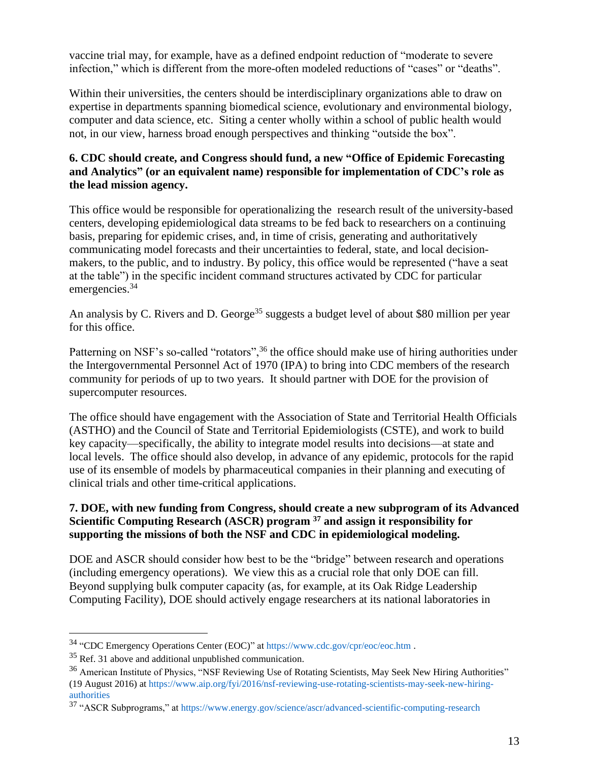vaccine trial may, for example, have as a defined endpoint reduction of "moderate to severe infection," which is different from the more-often modeled reductions of "cases" or "deaths".

Within their universities, the centers should be interdisciplinary organizations able to draw on expertise in departments spanning biomedical science, evolutionary and environmental biology, computer and data science, etc. Siting a center wholly within a school of public health would not, in our view, harness broad enough perspectives and thinking "outside the box".

#### **6. CDC should create, and Congress should fund, a new "Office of Epidemic Forecasting and Analytics" (or an equivalent name) responsible for implementation of CDC's role as the lead mission agency.**

This office would be responsible for operationalizing the research result of the university-based centers, developing epidemiological data streams to be fed back to researchers on a continuing basis, preparing for epidemic crises, and, in time of crisis, generating and authoritatively communicating model forecasts and their uncertainties to federal, state, and local decisionmakers, to the public, and to industry. By policy, this office would be represented ("have a seat at the table") in the specific incident command structures activated by CDC for particular emergencies.<sup>34</sup>

An analysis by C. Rivers and D. George<sup>35</sup> suggests a budget level of about \$80 million per year for this office.

Patterning on NSF's so-called "rotators",<sup>36</sup> the office should make use of hiring authorities under the Intergovernmental Personnel Act of 1970 (IPA) to bring into CDC members of the research community for periods of up to two years. It should partner with DOE for the provision of supercomputer resources.

The office should have engagement with the Association of State and Territorial Health Officials (ASTHO) and the Council of State and Territorial Epidemiologists (CSTE), and work to build key capacity—specifically, the ability to integrate model results into decisions—at state and local levels. The office should also develop, in advance of any epidemic, protocols for the rapid use of its ensemble of models by pharmaceutical companies in their planning and executing of clinical trials and other time-critical applications.

### **7. DOE, with new funding from Congress, should create a new subprogram of its Advanced Scientific Computing Research (ASCR) program <sup>37</sup> and assign it responsibility for supporting the missions of both the NSF and CDC in epidemiological modeling.**

DOE and ASCR should consider how best to be the "bridge" between research and operations (including emergency operations). We view this as a crucial role that only DOE can fill. Beyond supplying bulk computer capacity (as, for example, at its Oak Ridge Leadership Computing Facility), DOE should actively engage researchers at its national laboratories in

<sup>34</sup> "CDC Emergency Operations Center (EOC)" at<https://www.cdc.gov/cpr/eoc/eoc.htm> .

<sup>35</sup> Ref. 31 above and additional unpublished communication.

<sup>&</sup>lt;sup>36</sup> American Institute of Physics, "NSF Reviewing Use of Rotating Scientists, May Seek New Hiring Authorities" (19 August 2016) at [https://www.aip.org/fyi/2016/nsf-reviewing-use-rotating-scientists-may-seek-new-hiring](https://www.aip.org/fyi/2016/nsf-reviewing-use-rotating-scientists-may-seek-new-hiring-authorities)[authorities](https://www.aip.org/fyi/2016/nsf-reviewing-use-rotating-scientists-may-seek-new-hiring-authorities)

<sup>37</sup> "ASCR Subprograms," at<https://www.energy.gov/science/ascr/advanced-scientific-computing-research>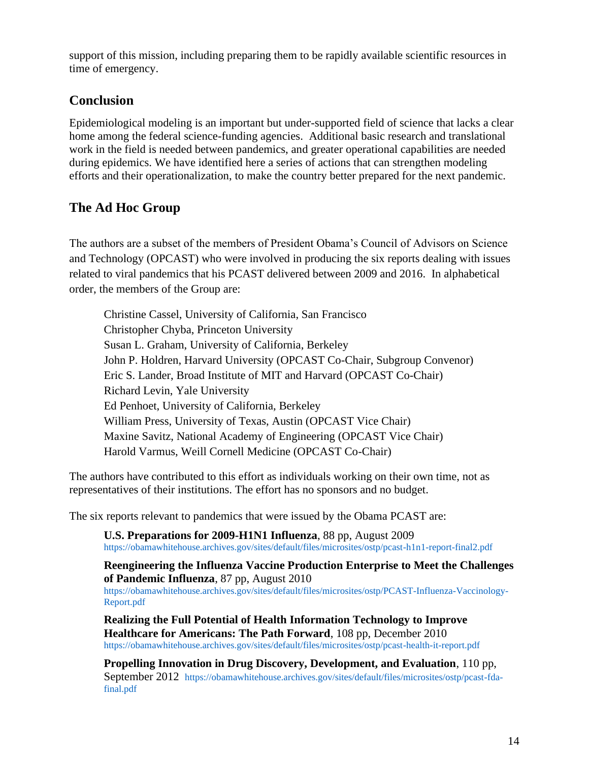support of this mission, including preparing them to be rapidly available scientific resources in time of emergency.

### **Conclusion**

Epidemiological modeling is an important but under-supported field of science that lacks a clear home among the federal science-funding agencies. Additional basic research and translational work in the field is needed between pandemics, and greater operational capabilities are needed during epidemics. We have identified here a series of actions that can strengthen modeling efforts and their operationalization, to make the country better prepared for the next pandemic.

# **The Ad Hoc Group**

The authors are a subset of the members of President Obama's Council of Advisors on Science and Technology (OPCAST) who were involved in producing the six reports dealing with issues related to viral pandemics that his PCAST delivered between 2009 and 2016. In alphabetical order, the members of the Group are:

Christine Cassel, University of California, San Francisco Christopher Chyba, Princeton University Susan L. Graham, University of California, Berkeley John P. Holdren, Harvard University (OPCAST Co-Chair, Subgroup Convenor) Eric S. Lander, Broad Institute of MIT and Harvard (OPCAST Co-Chair) Richard Levin, Yale University Ed Penhoet, University of California, Berkeley William Press, University of Texas, Austin (OPCAST Vice Chair) Maxine Savitz, National Academy of Engineering (OPCAST Vice Chair) Harold Varmus, Weill Cornell Medicine (OPCAST Co-Chair)

The authors have contributed to this effort as individuals working on their own time, not as representatives of their institutions. The effort has no sponsors and no budget.

The six reports relevant to pandemics that were issued by the Obama PCAST are:

**U.S. Preparations for 2009-H1N1 Influenza**, 88 pp, August 2009 <https://obamawhitehouse.archives.gov/sites/default/files/microsites/ostp/pcast-h1n1-report-final2.pdf>

**Reengineering the Influenza Vaccine Production Enterprise to Meet the Challenges of Pandemic Influenza**, 87 pp, August 2010 [https://obamawhitehouse.archives.gov/sites/default/files/microsites/ostp/PCAST-Influenza-Vaccinology-](https://obamawhitehouse.archives.gov/sites/default/files/microsites/ostp/PCAST-Influenza-Vaccinology-Report.pdf)[Report.pdf](https://obamawhitehouse.archives.gov/sites/default/files/microsites/ostp/PCAST-Influenza-Vaccinology-Report.pdf)

**Realizing the Full Potential of Health Information Technology to Improve Healthcare for Americans: The Path Forward**, 108 pp, December 2010 <https://obamawhitehouse.archives.gov/sites/default/files/microsites/ostp/pcast-health-it-report.pdf>

**Propelling Innovation in Drug Discovery, Development, and Evaluation**, 110 pp, September 2012 [https://obamawhitehouse.archives.gov/sites/default/files/microsites/ostp/pcast-fda](https://obamawhitehouse.archives.gov/sites/default/files/microsites/ostp/pcast-fda-final.pdf)[final.pdf](https://obamawhitehouse.archives.gov/sites/default/files/microsites/ostp/pcast-fda-final.pdf)